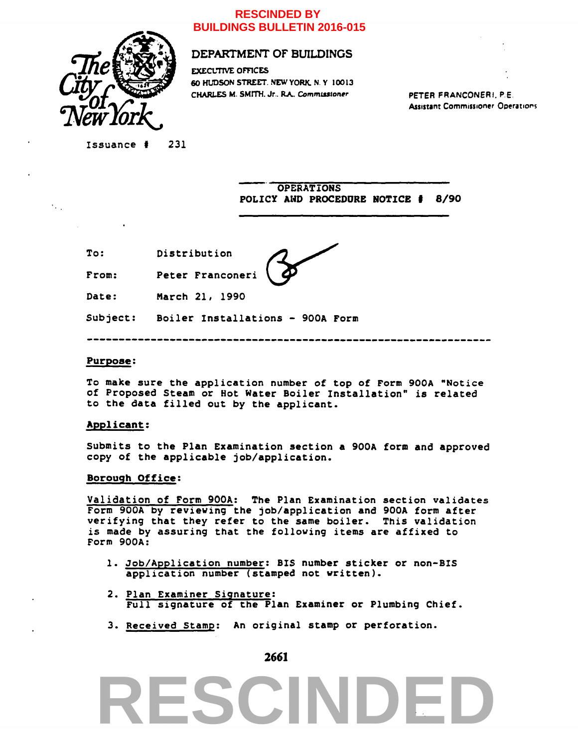

## **RESCINDED BY BUILDINGS BULLETIN 2016-015**

# DEPARTMENT OF BUILDINGS

60 HUDSON STREET. NEW YORK. N. Y 10013 CHARLES M. SMITH. Jr.. RA» *Commmtoner*  EXECUTIVE OFFICES

**PETER FRANCONERI. P.E Assistant Commissioner Operations** 

**Issuance ff 231** 

**OPERATIONS POLICY AND PROCEDURE NOTICE • 8/90** 

**To Distribution** 

From: Peter Franconeri

**Date March 21, 1990** 

**Subject: Boiler Installations - 900A Form** 

### **Purpose:**

 $\mathcal{L}_{\text{max}}$ 

**To make sure the application number of top of Form 900A "Notice of Proposed Steam or Hot Water Boiler Installation" is related to the data filled out by the applicant.** 

### **Applicant:**

**Submits to the Plan Examination section a 900A form and approved copy of the applicable job/application.** 

### **Borough Office:**

**Validation of Form 900A: The Plan Examination section validates Form 900A by reviewing the job/application and 900A form after verifying that they refer to the same boiler. This validation is made by assuring that the following items are affixed to Form 900A:** 

- **1. Job/Application number: BIS number sticker or non-BIS application number (stamped not written).**
- **2. Plan Examiner Signature: Full signature of the Plan Examiner or Plumbing Chief.**
- **3. Received Stamp: An original stamp or perforation.**

**2661** 

# **RESCINDED**